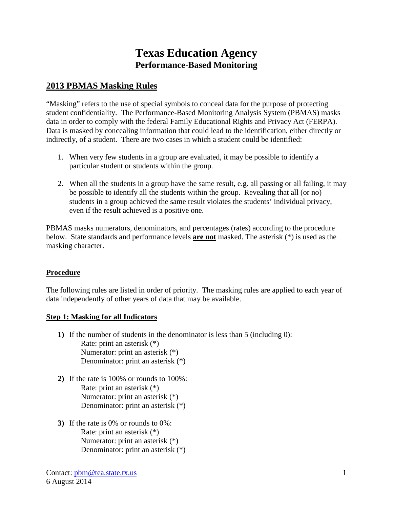# **Texas Education Agency Performance-Based Monitoring**

## **2013 PBMAS Masking Rules**

"Masking" refers to the use of special symbols to conceal data for the purpose of protecting student confidentiality. The Performance-Based Monitoring Analysis System (PBMAS) masks data in order to comply with the federal Family Educational Rights and Privacy Act (FERPA). Data is masked by concealing information that could lead to the identification, either directly or indirectly, of a student. There are two cases in which a student could be identified:

- 1. When very few students in a group are evaluated, it may be possible to identify a particular student or students within the group.
- 2. When all the students in a group have the same result, e.g. all passing or all failing, it may be possible to identify all the students within the group. Revealing that all (or no) students in a group achieved the same result violates the students' individual privacy, even if the result achieved is a positive one.

PBMAS masks numerators, denominators, and percentages (rates) according to the procedure below. State standards and performance levels **are not** masked. The asterisk (\*) is used as the masking character.

### **Procedure**

The following rules are listed in order of priority. The masking rules are applied to each year of data independently of other years of data that may be available.

#### **Step 1: Masking for all Indicators**

- **1)** If the number of students in the denominator is less than 5 (including 0): Rate: print an asterisk (\*) Numerator: print an asterisk (\*) Denominator: print an asterisk (\*)
- **2)** If the rate is 100% or rounds to 100%: Rate: print an asterisk (\*) Numerator: print an asterisk (\*) Denominator: print an asterisk (\*)
- **3)** If the rate is 0% or rounds to 0%: Rate: print an asterisk (\*) Numerator: print an asterisk (\*) Denominator: print an asterisk (\*)